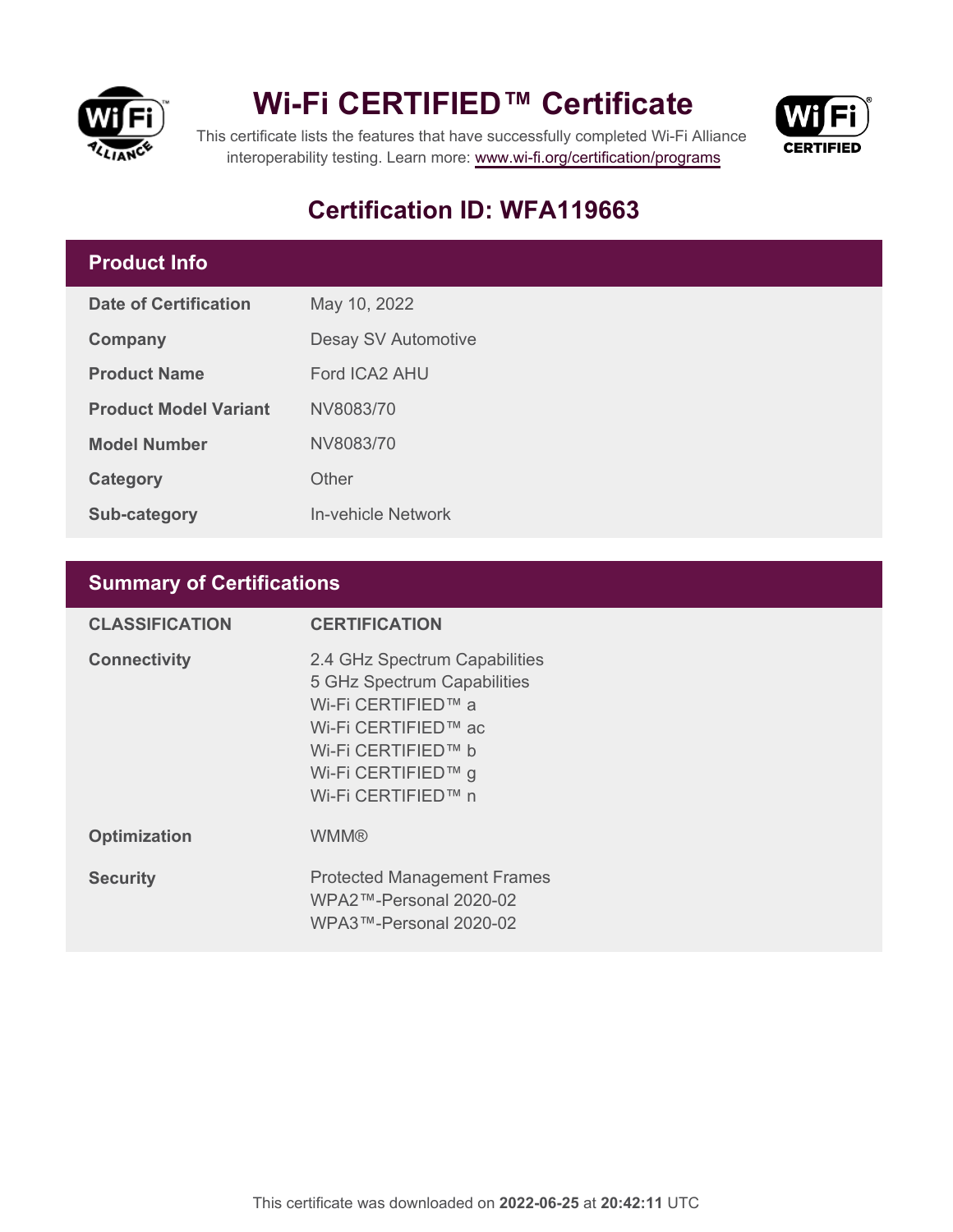

## **Wi-Fi CERTIFIED™ Certificate**



This certificate lists the features that have successfully completed Wi-Fi Alliance interoperability testing. Learn more:<www.wi-fi.org/certification/programs>

## **Certification ID: WFA119663**

### **Product Info**

| Date of Certification        | May 10, 2022        |  |
|------------------------------|---------------------|--|
| Company                      | Desay SV Automotive |  |
| <b>Product Name</b>          | Ford ICA2 AHU       |  |
| <b>Product Model Variant</b> | NV8083/70           |  |
| <b>Model Number</b>          | NV8083/70           |  |
| Category                     | Other               |  |
| <b>Sub-category</b>          | In-vehicle Network  |  |

### **Summary of Certifications**

| <b>CLASSIFICATION</b> | <b>CERTIFICATION</b>                                                                                                                                                        |
|-----------------------|-----------------------------------------------------------------------------------------------------------------------------------------------------------------------------|
| <b>Connectivity</b>   | 2.4 GHz Spectrum Capabilities<br>5 GHz Spectrum Capabilities<br>Wi-Fi CERTIFIED™ a<br>Wi-Fi CERTIFIED™ ac<br>Wi-Fi CERTIFIED™ b<br>Wi-Fi CERTIFIED™ g<br>Wi-Fi CERTIFIED™ n |
| <b>Optimization</b>   | <b>WMM®</b>                                                                                                                                                                 |
| <b>Security</b>       | <b>Protected Management Frames</b><br>WPA2™-Personal 2020-02<br>WPA3™-Personal 2020-02                                                                                      |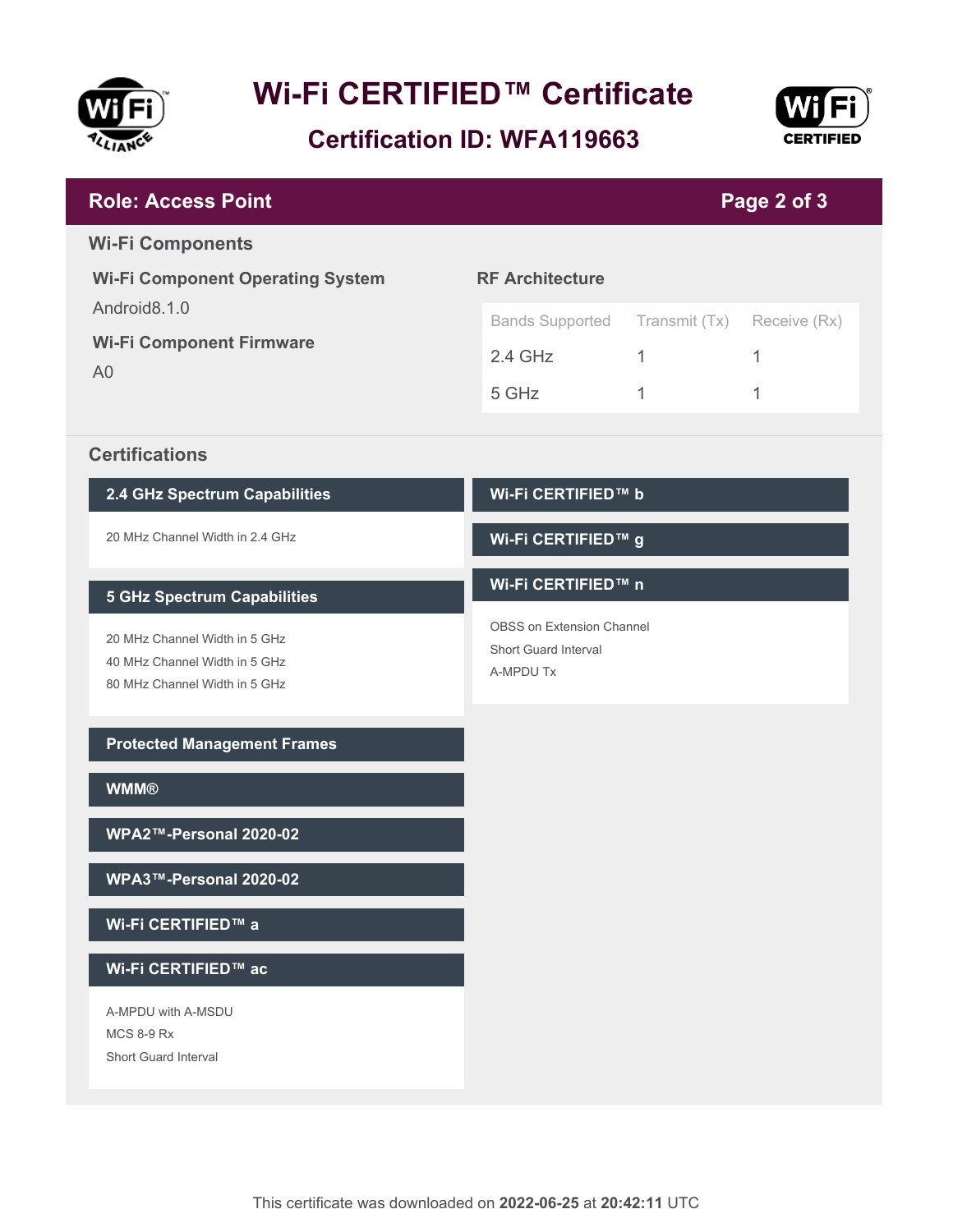

# **Wi-Fi CERTIFIED™ Certificate**

**Certification ID: WFA119663**



| <b>Role: Access Point</b>                                                                       |                                                                |               | Page 2 of 3  |
|-------------------------------------------------------------------------------------------------|----------------------------------------------------------------|---------------|--------------|
| <b>Wi-Fi Components</b>                                                                         |                                                                |               |              |
| <b>Wi-Fi Component Operating System</b>                                                         | <b>RF Architecture</b>                                         |               |              |
| Android8.1.0                                                                                    | <b>Bands Supported</b>                                         | Transmit (Tx) | Receive (Rx) |
| <b>Wi-Fi Component Firmware</b>                                                                 | $2.4$ GHz                                                      | $\mathbf{1}$  | 1            |
| A <sub>0</sub>                                                                                  | 5 GHz                                                          | 1             | 1            |
| <b>Certifications</b>                                                                           |                                                                |               |              |
| 2.4 GHz Spectrum Capabilities                                                                   | Wi-Fi CERTIFIED™ b                                             |               |              |
| 20 MHz Channel Width in 2.4 GHz                                                                 | Wi-Fi CERTIFIED™ g                                             |               |              |
| <b>5 GHz Spectrum Capabilities</b>                                                              | Wi-Fi CERTIFIED™ n                                             |               |              |
| 20 MHz Channel Width in 5 GHz<br>40 MHz Channel Width in 5 GHz<br>80 MHz Channel Width in 5 GHz | OBSS on Extension Channel<br>Short Guard Interval<br>A-MPDU Tx |               |              |
| <b>Protected Management Frames</b>                                                              |                                                                |               |              |
| <b>WMM®</b>                                                                                     |                                                                |               |              |
| WPA2™-Personal 2020-02                                                                          |                                                                |               |              |
| WPA3™-Personal 2020-02                                                                          |                                                                |               |              |
| Wi-Fi CERTIFIED™ a                                                                              |                                                                |               |              |
| Wi-Fi CERTIFIED™ ac                                                                             |                                                                |               |              |
| A-MPDU with A-MSDU<br><b>MCS 8-9 Rx</b><br>Short Guard Interval                                 |                                                                |               |              |